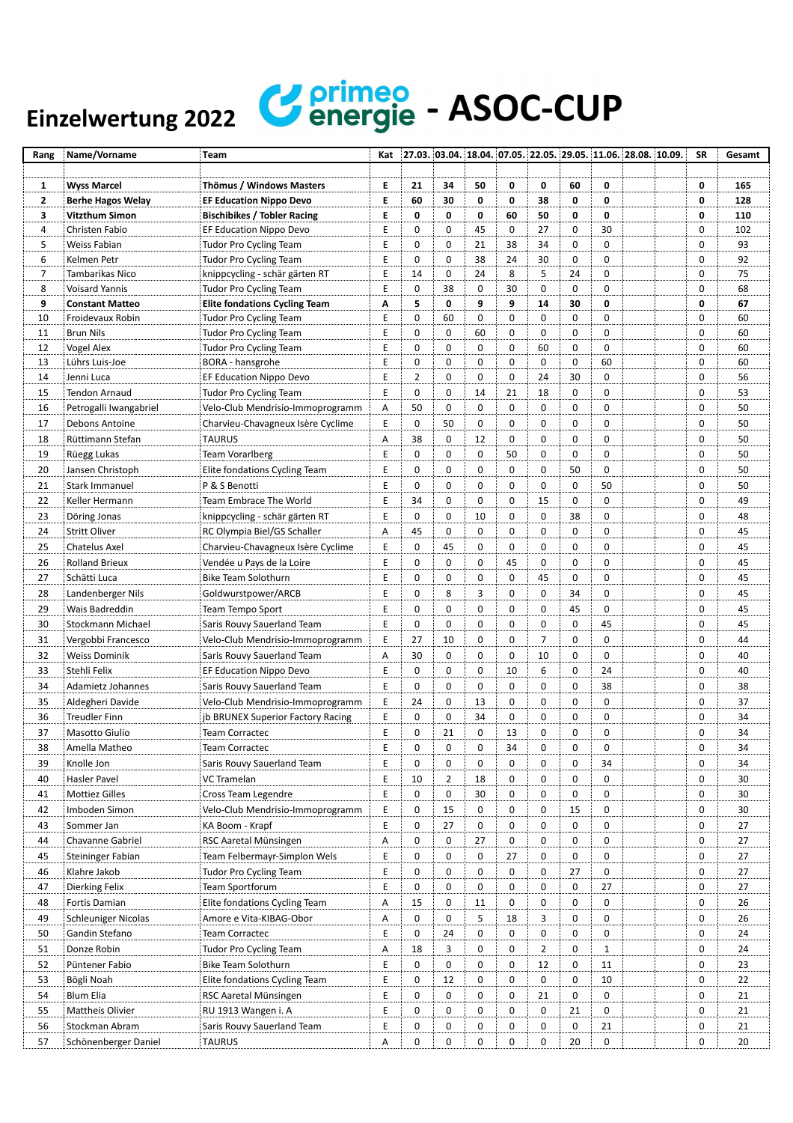## Einzelwertung 2022 **Confirmed** - ASOC-CUP

| Rang           | Name/Vorname               | <b>Team</b>                          | Kat | $27.03.$ 03.04. 18.04. 07.05. 22.05. 29.05. 11.06. 28.08. 10.09. |             |             |    |                |             |             |  | <b>SR</b>   | Gesamt |
|----------------|----------------------------|--------------------------------------|-----|------------------------------------------------------------------|-------------|-------------|----|----------------|-------------|-------------|--|-------------|--------|
|                |                            |                                      |     |                                                                  |             |             |    |                |             |             |  |             |        |
| 1              | <b>Wyss Marcel</b>         | Thömus / Windows Masters             | Е   | 21                                                               | 34          | 50          | 0  | 0              | 60          | 0           |  | 0           | 165    |
| $\mathbf{2}$   | <b>Berhe Hagos Welay</b>   | <b>EF Education Nippo Devo</b>       | E   | 60                                                               | 30          | 0           | 0  | 38             | 0           | 0           |  | 0           | 128    |
| 3              | Vitzthum Simon             | <b>Bischibikes / Tobler Racing</b>   | Е   | 0                                                                | 0           | 0           | 60 | 50             | 0           | 0           |  | 0           | 110    |
| 4              | Christen Fabio             | EF Education Nippo Devo              | Ε   | 0                                                                | 0           | 45          | 0  | 27             | 0           | 30          |  | 0           | 102    |
| 5              | Weiss Fabian               | <b>Tudor Pro Cycling Team</b>        | Ε   | 0                                                                | 0           | 21          | 38 | 34             | 0           | $\mathbf 0$ |  | 0           | 93     |
| 6              | Kelmen Petr                | <b>Tudor Pro Cycling Team</b>        | Е   | $\mathbf 0$                                                      | 0           | 38          | 24 | 30             | $\mathbf 0$ | 0           |  | 0           | 92     |
| $\overline{7}$ | Tambarikas Nico            | knippcycling - schär gärten RT       | E   | 14                                                               | 0           | 24          | 8  | 5              | 24          | $\mathbf 0$ |  | $\mathbf 0$ | 75     |
| 8              | Voisard Yannis             | <b>Tudor Pro Cycling Team</b>        | Ε   | 0                                                                | 38          | 0           | 30 | 0              | $\mathbf 0$ | $\mathbf 0$ |  | 0           | 68     |
| 9              | <b>Constant Matteo</b>     | <b>Elite fondations Cycling Team</b> | Α   | 5                                                                | 0           | 9           | 9  | 14             | 30          | 0           |  | 0           | 67     |
| 10             | Froidevaux Robin           | <b>Tudor Pro Cycling Team</b>        | Ε   | 0                                                                | 60          | 0           | 0  | 0              | 0           | 0           |  | 0           | 60     |
| 11             | <b>Brun Nils</b>           | <b>Tudor Pro Cycling Team</b>        | Ε   | 0                                                                | $\mathbf 0$ | 60          | 0  | $\mathbf 0$    | $\mathbf 0$ | 0           |  | 0           | 60     |
| 12             | Vogel Alex                 | <b>Tudor Pro Cycling Team</b>        | E   | 0                                                                | 0           | 0           | 0  | 60             | 0           | 0           |  | 0           | 60     |
| 13             | Lührs Luis-Joe             | BORA - hansgrohe                     | Е   | 0                                                                | 0           | 0           | 0  | 0              | 0           | 60          |  | 0           | 60     |
| 14             | Jenni Luca                 | EF Education Nippo Devo              | Ε   | $\overline{2}$                                                   | 0           | 0           | 0  | 24             | 30          | $\mathbf 0$ |  | 0           | 56     |
| 15             | <b>Tendon Arnaud</b>       | <b>Tudor Pro Cycling Team</b>        | Ε   | 0                                                                | 0           | 14          | 21 | 18             | $\mathbf 0$ | 0           |  | 0           | 53     |
| 16             | Petrogalli Iwangabriel     | Velo-Club Mendrisio-Immoprogramm     | Α   | 50                                                               | 0           | 0           | 0  | 0              | 0           | $\mathbf 0$ |  | 0           | 50     |
| 17             | Debons Antoine             | Charvieu-Chavagneux Isère Cyclime    | Ε   | $\mathbf 0$                                                      | 50          | 0           | 0  | 0              | $\mathbf 0$ | $\mathbf 0$ |  | 0           | 50     |
| 18             | Rüttimann Stefan           | <b>TAURUS</b>                        | Α   | 38                                                               | 0           | 12          | 0  | 0              | 0           | 0           |  | 0           | 50     |
| 19             | Rüegg Lukas                | <b>Team Vorarlberg</b>               | Е   | 0                                                                | 0           | 0           | 50 | 0              | 0           | 0           |  | 0           | 50     |
| 20             | Jansen Christoph           | Elite fondations Cycling Team        | Ε   | 0                                                                | 0           | 0           | 0  | 0              | 50          | 0           |  | 0           | 50     |
| 21             | Stark Immanuel             | P & S Benotti                        | E   | 0                                                                | $\mathbf 0$ | 0           | 0  | $\mathbf 0$    | $\mathbf 0$ | 50          |  | 0           | 50     |
| 22             | Keller Hermann             | Team Embrace The World               | Ε   | 34                                                               | 0           | 0           | 0  | 15             | 0           | $\mathbf 0$ |  | 0           | 49     |
| 23             | Döring Jonas               | knippcycling - schär gärten RT       | Ε   | 0                                                                | 0           | 10          | 0  | 0              | 38          | 0           |  | 0           | 48     |
| 24             | <b>Stritt Oliver</b>       | RC Olympia Biel/GS Schaller          | Α   | 45                                                               | 0           | $\mathbf 0$ | 0  | 0              | 0           | 0           |  | 0           | 45     |
| 25             | Chatelus Axel              | Charvieu-Chavagneux Isère Cyclime    | Е   | 0                                                                | 45          | 0           | 0  | 0              | 0           | $\mathbf 0$ |  | 0           | 45     |
| 26             | <b>Rolland Brieux</b>      | Vendée u Pays de la Loire            | E   | 0                                                                | $\mathbf 0$ | 0           | 45 | 0              | $\mathbf 0$ | 0           |  | 0           | 45     |
| 27             | Schätti Luca               | Bike Team Solothurn                  | E   | 0                                                                | 0           | 0           | 0  | 45             | 0           | 0           |  | $\mathbf 0$ | 45     |
| 28             | Landenberger Nils          | Goldwurstpower/ARCB                  | Ε   | 0                                                                | 8           | 3           | 0  | $\mathbf 0$    | 34          | $\mathbf 0$ |  | 0           | 45     |
| 29             | Wais Badreddin             | Team Tempo Sport                     | Ε   | 0                                                                | 0           | 0           | 0  | 0              | 45          | $\mathbf 0$ |  | 0           | 45     |
| 30             | Stockmann Michael          | Saris Rouvy Sauerland Team           | Ε   | 0                                                                | 0           | 0           | 0  | 0              | 0           | 45          |  | 0           | 45     |
| 31             | Vergobbi Francesco         | Velo-Club Mendrisio-Immoprogramm     | Ε   | 27                                                               | 10          | 0           | 0  | $\overline{7}$ | 0           | $\mathbf 0$ |  | 0           | 44     |
| 32             | <b>Weiss Dominik</b>       | Saris Rouvy Sauerland Team           | Α   | 30                                                               | 0           | 0           | 0  | 10             | $\mathbf 0$ | $\mathbf 0$ |  | 0           | 40     |
| 33             | Stehli Felix               | EF Education Nippo Devo              | Ε   | 0                                                                | 0           | 0           | 10 | 6              | 0           | 24          |  | 0           | 40     |
| 34             | Adamietz Johannes          | Saris Rouvy Sauerland Team           | Ε   | 0                                                                | 0           | 0           | 0  | 0              | 0           | 38          |  | 0           | 38     |
| 35             | Aldegheri Davide           | Velo-Club Mendrisio-Immoprogramm     | Ε   | 24                                                               | 0           | 13          | 0  | 0              | 0           | 0           |  | 0           | 37     |
| 36             | <b>Treudler Finn</b>       | jb BRUNEX Superior Factory Racing    | Ε   | 0                                                                | $\mathbf 0$ | 34          | 0  | $\mathbf 0$    | 0           | 0           |  | 0           | 34     |
| 37             | Masotto Giulio             | Team Corractec                       | Ε   | 0                                                                | 21          | 0           | 13 | $\mathbf 0$    | $\mathbf 0$ | 0           |  | 0           | 34     |
| 38             | Amella Matheo              | <b>Team Corractec</b>                | E   | $\pmb{0}$                                                        | 0           | 0           | 34 | $\pmb{0}$      | 0           | 0           |  | 0           | 34     |
| 39             |                            |                                      | Ε   | $\mathbf 0$                                                      | 0           | 0           | 0  | 0              | 0           | 34          |  | 0           | 34     |
|                | Knolle Jon                 | Saris Rouvy Sauerland Team           |     |                                                                  |             |             |    |                |             |             |  |             |        |
| 40             | Hasler Pavel               | VC Tramelan                          | Ε   | 10                                                               | 2           | 18          | 0  | 0              | 0           | 0           |  | 0           | 30     |
| 41             | <b>Mottiez Gilles</b>      | Cross Team Legendre                  | E   | 0                                                                | 0           | 30          | 0  | 0              | 0           | 0           |  | 0           | 30     |
| 42             | Imboden Simon              | Velo-Club Mendrisio-Immoprogramm     | Ε   | 0                                                                | 15          | 0           | 0  | 0              | 15          | 0           |  | 0           | 30     |
| 43             | Sommer Jan                 | KA Boom - Krapf                      | Ε   | 0                                                                | 27          | 0           | 0  | 0              | 0           | 0           |  | 0           | 27     |
| 44             | Chavanne Gabriel           | RSC Aaretal Münsingen                | Α   | 0                                                                | 0           | 27          | 0  | 0              | 0           | 0           |  | 0           | 27     |
| 45             | Steininger Fabian          | Team Felbermayr-Simplon Wels         | Ε   | 0                                                                | 0           | 0           | 27 | 0              | 0           | 0           |  | 0           | 27     |
| 46             | Klahre Jakob               | <b>Tudor Pro Cycling Team</b>        | E   | 0                                                                | 0           | 0           | 0  | 0              | 27          | 0           |  | 0           | 27     |
| 47             | Dierking Felix             | Team Sportforum                      | Ε   | 0                                                                | 0           | 0           | 0  | 0              | 0           | 27          |  | 0           | 27     |
| 48             | Fortis Damian              | Elite fondations Cycling Team        | Α   | 15                                                               | 0           | 11          | 0  | 0              | 0           | 0           |  | 0           | 26     |
| 49             | <b>Schleuniger Nicolas</b> | Amore e Vita-KIBAG-Obor              | Α   | 0                                                                | 0           | 5           | 18 | 3              | 0           | 0           |  | 0           | 26     |
| 50             | Gandin Stefano             | Team Corractec                       | Ε   | 0                                                                | 24          | 0           | 0  | 0              | 0           | 0           |  | 0           | 24     |
| 51             | Donze Robin                | <b>Tudor Pro Cycling Team</b>        | Α   | 18                                                               | 3           | 0           | 0  | $\overline{2}$ | 0           | 1           |  | 0           | 24     |
| 52             | Püntener Fabio             | Bike Team Solothurn                  | Ε   | 0                                                                | 0           | 0           | 0  | 12             | 0           | 11          |  | 0           | 23     |
| 53             | Bögli Noah                 | Elite fondations Cycling Team        | E   | 0                                                                | 12          | 0           | 0  | 0              | 0           | 10          |  | 0           | 22     |
| 54             | <b>Blum Elia</b>           | RSC Aaretal Münsingen                | Е   | 0                                                                | 0           | 0           | 0  | 21             | 0           | 0           |  | 0           | 21     |
| 55             | Mattheis Olivier           | RU 1913 Wangen i. A                  | Ε   | 0                                                                | 0           | 0           | 0  | 0              | 21          | 0           |  | 0           | 21     |
| 56             | Stockman Abram             | Saris Rouvy Sauerland Team           | Ε   | 0                                                                | 0           | 0           | 0  | $\mathbf 0$    | 0           | 21          |  | 0           | 21     |
| 57             | Schönenberger Daniel       | <b>TAURUS</b>                        | Α   | 0                                                                | 0           | 0           | 0  | $\mathbf 0$    | 20          | 0           |  | 0           | 20     |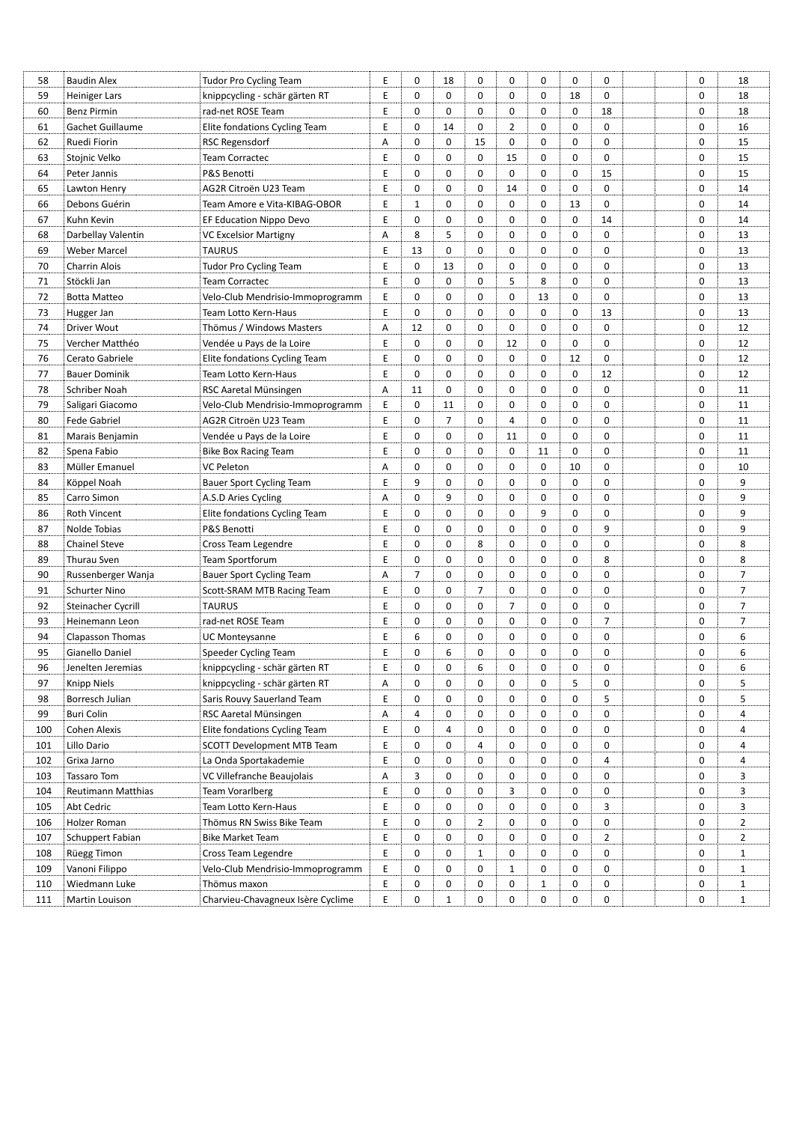| 58  | <b>Baudin Alex</b>   | <b>Tudor Pro Cycling Team</b>     | E | 0              | 18             | 0              | 0              | 0           | 0           | 0              |  | 0           | 18             |
|-----|----------------------|-----------------------------------|---|----------------|----------------|----------------|----------------|-------------|-------------|----------------|--|-------------|----------------|
| 59  | <b>Heiniger Lars</b> | knippcycling - schär gärten RT    | Ε | $\mathbf 0$    | $\mathbf 0$    | 0              | $\mathbf 0$    | 0           | 18          | $\mathbf 0$    |  | $\mathbf 0$ | 18             |
| 60  | <b>Benz Pirmin</b>   | rad-net ROSE Team                 | E | $\mathbf 0$    | 0              | 0              | $\mathbf 0$    | 0           | $\mathbf 0$ | 18             |  | 0           | 18             |
| 61  | Gachet Guillaume     | Elite fondations Cycling Team     | E | $\mathbf 0$    | 14             | 0              | $\overline{2}$ | 0           | $\mathbf 0$ | $\mathbf 0$    |  | $\mathbf 0$ | 16             |
| 62  | Ruedi Fiorin         | <b>RSC Regensdorf</b>             | Α | $\mathbf 0$    | 0              | 15             | $\mathbf 0$    | 0           | $\mathbf 0$ | $\mathbf 0$    |  | $\mathbf 0$ | 15             |
| 63  | Stojnic Velko        | <b>Team Corractec</b>             | Ε | $\mathbf 0$    | 0              | 0              | 15             | 0           | $\mathbf 0$ | 0              |  | $\mathbf 0$ | 15             |
| 64  | Peter Jannis         | P&S Benotti                       | Ε | $\mathbf 0$    | 0              | $\mathbf 0$    | $\mathbf 0$    | 0           | $\mathbf 0$ | 15             |  | $\mathbf 0$ | 15             |
| 65  | Lawton Henry         | AG2R Citroën U23 Team             | E | $\mathbf 0$    | 0              | 0              | 14             | 0           | $\mathbf 0$ | 0              |  | $\mathbf 0$ | 14             |
| 66  | Debons Guérin        | Team Amore e Vita-KIBAG-OBOR      | Ε | 1              | 0              | 0              | $\mathbf 0$    | 0           | 13          | 0              |  | 0           | 14             |
| 67  | Kuhn Kevin           | EF Education Nippo Devo           | E | $\mathbf 0$    | 0              | 0              | $\mathbf 0$    | 0           | $\mathbf 0$ | 14             |  | 0           | 14             |
| 68  | Darbellay Valentin   | <b>VC Excelsior Martigny</b>      | Α | 8              | 5              | $\mathbf 0$    | $\mathbf 0$    | 0           | $\mathbf 0$ | 0              |  | $\mathbf 0$ | 13             |
| 69  | <b>Weber Marcel</b>  | <b>TAURUS</b>                     | Ε | 13             | 0              | 0              | 0              | 0           | $\mathbf 0$ | 0              |  | 0           | 13             |
| 70  | Charrin Alois        | <b>Tudor Pro Cycling Team</b>     | E | $\mathbf 0$    | 13             | $\mathbf 0$    | $\mathbf 0$    | 0           | $\mathbf 0$ | 0              |  | $\mathbf 0$ | 13             |
| 71  | Stöckli Jan          | <b>Team Corractec</b>             | E | $\mathbf 0$    | 0              | 0              | 5              | 8           | $\mathbf 0$ | $\mathbf 0$    |  | 0           | 13             |
| 72  | <b>Botta Matteo</b>  | Velo-Club Mendrisio-Immoprogramm  | Ε | $\mathbf 0$    | 0              | $\mathbf 0$    | 0              | 13          | $\mathbf 0$ | 0              |  | 0           | 13             |
| 73  | Hugger Jan           | Team Lotto Kern-Haus              | E | $\mathbf 0$    | $\mathbf 0$    | $\mathbf 0$    | $\mathbf 0$    | 0           | $\mathbf 0$ | 13             |  | $\mathbf 0$ | 13             |
| 74  | Driver Wout          | Thömus / Windows Masters          | Α | 12             | $\mathbf 0$    | 0              | $\mathbf 0$    | 0           | $\mathbf 0$ | $\mathbf 0$    |  | $\mathbf 0$ | 12             |
| 75  | Vercher Matthéo      | Vendée u Pays de la Loire         | Ε | $\mathbf 0$    | 0              | 0              | 12             | 0           | $\mathbf 0$ | $\mathbf 0$    |  | $\mathbf 0$ | 12             |
| 76  | Cerato Gabriele      | Elite fondations Cycling Team     | Ε | $\mathbf 0$    | 0              | 0              | 0              | 0           | 12          | 0              |  | 0           | 12             |
| 77  | <b>Bauer Dominik</b> | Team Lotto Kern-Haus              | Ε | $\mathbf 0$    | $\mathbf 0$    | 0              | 0              | 0           | $\mathbf 0$ | 12             |  | 0           | 12             |
| 78  | Schriber Noah        | RSC Aaretal Münsingen             | Α | 11             | 0              | $\mathbf 0$    | 0              | 0           | $\mathbf 0$ | $\mathbf 0$    |  | 0           | 11             |
| 79  | Saligari Giacomo     | Velo-Club Mendrisio-Immoprogramm  | Ε | $\mathbf 0$    | 11             | $\mathbf 0$    | 0              | 0           | $\mathbf 0$ | 0              |  | 0           | 11             |
| 80  | <b>Fede Gabriel</b>  | AG2R Citroën U23 Team             | E | $\mathbf 0$    | $\overline{7}$ | 0              | 4              | 0           | $\mathbf 0$ | 0              |  | $\mathbf 0$ | 11             |
| 81  | Marais Benjamin      | Vendée u Pays de la Loire         | Ε | $\mathbf 0$    | 0              | 0              | 11             | 0           | $\mathbf 0$ | 0              |  | 0           | 11             |
| 82  | Spena Fabio          | <b>Bike Box Racing Team</b>       | E | $\mathbf 0$    | 0              | $\mathbf 0$    | $\mathbf 0$    | 11          | $\mathbf 0$ | $\mathbf 0$    |  | 0           | 11             |
| 83  | Müller Emanuel       | <b>VC Peleton</b>                 | Α | 0              | 0              | $\mathbf 0$    | $\mathbf 0$    | 0           | 10          | $\mathbf 0$    |  | $\mathbf 0$ | 10             |
| 84  | Köppel Noah          | <b>Bauer Sport Cycling Team</b>   | Ε | 9              | 0              | $\mathbf 0$    | $\mathbf 0$    | 0           | $\mathbf 0$ | 0              |  | $\mathbf 0$ | 9              |
| 85  | Carro Simon          | A.S.D Aries Cycling               | Α | $\mathbf 0$    | 9              | $\mathbf 0$    | $\mathbf 0$    | 0           | $\mathbf 0$ | 0              |  | $\mathbf 0$ | 9              |
| 86  | Roth Vincent         | Elite fondations Cycling Team     | Ε | $\mathbf 0$    | 0              | $\mathbf 0$    | $\mathbf 0$    | 9           | $\mathbf 0$ | $\mathbf 0$    |  | $\mathbf 0$ | 9              |
| 87  | Nolde Tobias         | P&S Benotti                       | Ε | $\mathbf 0$    | 0              | $\mathbf 0$    | $\mathbf 0$    | 0           | $\mathbf 0$ | 9              |  | $\mathbf 0$ | 9              |
| 88  | <b>Chainel Steve</b> | Cross Team Legendre               | E | $\mathbf 0$    | 0              | 8              | $\mathbf 0$    | 0           | $\mathbf 0$ | 0              |  | 0           | 8              |
| 89  | Thurau Sven          | Team Sportforum                   | E | $\mathbf 0$    | 0              | 0              | $\mathbf 0$    | 0           | $\mathbf 0$ | 8              |  | 0           | 8              |
| 90  | Russenberger Wanja   | <b>Bauer Sport Cycling Team</b>   | Α | $\overline{7}$ | 0              | 0              | $\mathbf 0$    | 0           | $\mathbf 0$ | $\mathbf 0$    |  | $\mathbf 0$ | $\overline{7}$ |
| 91  | <b>Schurter Nino</b> | Scott-SRAM MTB Racing Team        | Ε | $\mathbf 0$    | $\mathbf 0$    | $\overline{7}$ | 0              | 0           | 0           | 0              |  | $\mathbf 0$ | 7              |
| 92  | Steinacher Cycrill   | <b>TAURUS</b>                     | Ε | $\mathbf 0$    | 0              | $\mathbf 0$    | $\overline{7}$ | 0           | $\mathbf 0$ | $\mathbf 0$    |  | $\mathbf 0$ | 7              |
| 93  | Heinemann Leon       | rad-net ROSE Team                 | E | $\mathbf 0$    | 0              | 0              | 0              | 0           | $\mathbf 0$ | 7              |  | $\mathbf 0$ | 7              |
| 94  | Clapasson Thomas     | UC Monteysanne                    | Ε | 6              | 0              | 0              | 0              | 0           | 0           | 0              |  | $\mathbf 0$ | 6              |
| 95  | Gianello Daniel      | Speeder Cycling Team              | E | $\mathbf 0$    | 6              | 0              | 0              | $\mathbf 0$ | $\mathbf 0$ | 0              |  | $\mathbf 0$ | 6              |
| 96  | Jenelten Jeremias    | knippcycling - schär gärten RT    | Ε | 0              | 0              | 6              | 0              | 0           | 0           | 0              |  | 0           | 6              |
| 97  | Knipp Niels          | knippcycling - schär gärten RT    | Α | 0              | 0              | 0              | $\mathbf 0$    | 0           | 5           | 0              |  | 0           | 5              |
| 98  | Borresch Julian      | Saris Rouvy Sauerland Team        | Ε | 0              | 0              | 0              | 0              | 0           | 0           | 5              |  | 0           | 5              |
| 99  | Buri Colin           | RSC Aaretal Münsingen             | Α | 4              | 0              | 0              | 0              | 0           | 0           | 0              |  | 0           | 4              |
| 100 | Cohen Alexis         | Elite fondations Cycling Team     | Е | $\mathbf 0$    | 4              | 0              | 0              | 0           | 0           | 0              |  | 0           | 4              |
| 101 | Lillo Dario          | <b>SCOTT Development MTB Team</b> | Ε | $\mathbf 0$    | 0              | 4              | 0              | 0           | 0           | 0              |  | 0           | 4              |
| 102 | Grixa Jarno          | La Onda Sportakademie             | E | 0              | 0              | 0              | 0              | 0           | 0           | 4              |  | 0           | 4              |
| 103 | Tassaro Tom          | VC Villefranche Beaujolais        | Α | 3              | 0              | 0              | 0              | 0           | 0           | 0              |  | 0           | 3              |
| 104 | Reutimann Matthias   | <b>Team Vorarlberg</b>            | Ε | 0              | 0              | 0              | 3              | 0           | 0           | 0              |  | 0           | 3              |
| 105 | Abt Cedric           | Team Lotto Kern-Haus              | Ε | $\mathbf 0$    | 0              | 0              | 0              | 0           | 0           | 3              |  | 0           | 3              |
| 106 | Holzer Roman         | Thömus RN Swiss Bike Team         | Е | 0              | 0              | $\overline{2}$ | 0              | 0           | 0           | 0              |  | 0           | $\overline{2}$ |
| 107 | Schuppert Fabian     | <b>Bike Market Team</b>           | Е | 0              | 0              | 0              | 0              | 0           | 0           | $\overline{2}$ |  | 0           | $\overline{2}$ |
| 108 | Rüegg Timon          | Cross Team Legendre               | Ε | 0              | 0              | $\mathbf{1}$   | 0              | 0           | 0           | 0              |  | 0           | $\mathbf{1}$   |
| 109 | Vanoni Filippo       | Velo-Club Mendrisio-Immoprogramm  | Ε | 0              | 0              | 0              | $\mathbf{1}$   | 0           | 0           | 0              |  | 0           | $\mathbf{1}$   |
| 110 | Wiedmann Luke        | Thömus maxon                      | E | 0              | 0              | 0              | 0              | 1           | 0           | 0              |  | 0           | $\mathbf{1}$   |
| 111 | Martin Louison       | Charvieu-Chavagneux Isère Cyclime | Ε | 0              | 1              | 0              | 0              | 0           | 0           | 0              |  | 0           | $\mathbf{1}$   |